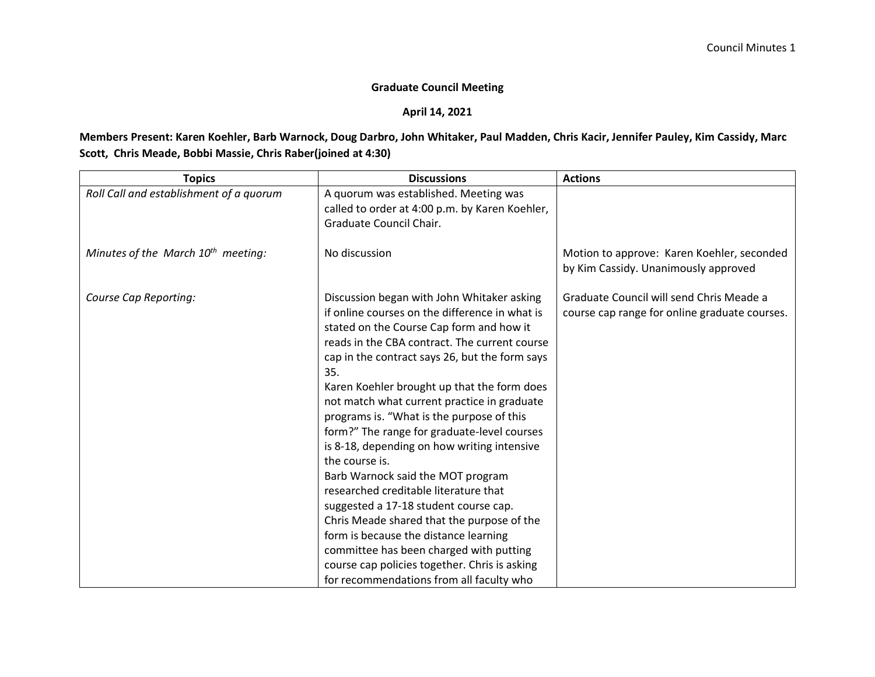## **Graduate Council Meeting**

## **April 14, 2021**

## **Members Present: Karen Koehler, Barb Warnock, Doug Darbro, John Whitaker, Paul Madden, Chris Kacir, Jennifer Pauley, Kim Cassidy, Marc Scott, Chris Meade, Bobbi Massie, Chris Raber(joined at 4:30)**

| <b>Topics</b>                           | <b>Discussions</b>                             | <b>Actions</b>                                |
|-----------------------------------------|------------------------------------------------|-----------------------------------------------|
| Roll Call and establishment of a quorum | A quorum was established. Meeting was          |                                               |
|                                         | called to order at 4:00 p.m. by Karen Koehler, |                                               |
|                                         | Graduate Council Chair.                        |                                               |
|                                         |                                                |                                               |
| Minutes of the March $10^{th}$ meeting: | No discussion                                  | Motion to approve: Karen Koehler, seconded    |
|                                         |                                                | by Kim Cassidy. Unanimously approved          |
| Course Cap Reporting:                   | Discussion began with John Whitaker asking     | Graduate Council will send Chris Meade a      |
|                                         | if online courses on the difference in what is | course cap range for online graduate courses. |
|                                         | stated on the Course Cap form and how it       |                                               |
|                                         | reads in the CBA contract. The current course  |                                               |
|                                         | cap in the contract says 26, but the form says |                                               |
|                                         | 35.                                            |                                               |
|                                         | Karen Koehler brought up that the form does    |                                               |
|                                         | not match what current practice in graduate    |                                               |
|                                         | programs is. "What is the purpose of this      |                                               |
|                                         | form?" The range for graduate-level courses    |                                               |
|                                         | is 8-18, depending on how writing intensive    |                                               |
|                                         | the course is.                                 |                                               |
|                                         | Barb Warnock said the MOT program              |                                               |
|                                         | researched creditable literature that          |                                               |
|                                         | suggested a 17-18 student course cap.          |                                               |
|                                         | Chris Meade shared that the purpose of the     |                                               |
|                                         | form is because the distance learning          |                                               |
|                                         | committee has been charged with putting        |                                               |
|                                         | course cap policies together. Chris is asking  |                                               |
|                                         | for recommendations from all faculty who       |                                               |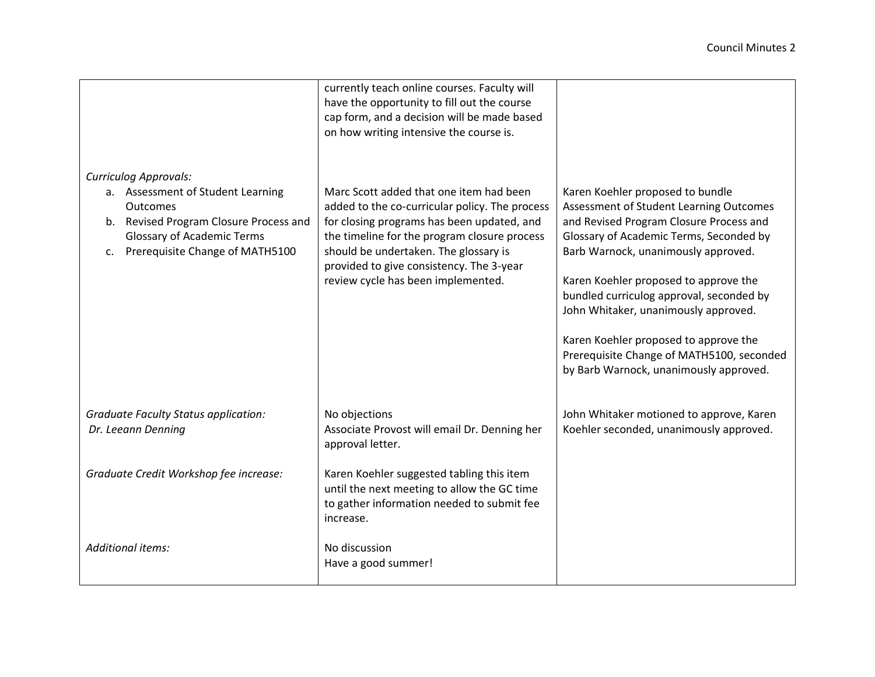|                                                                                                                                                                                                                   | currently teach online courses. Faculty will<br>have the opportunity to fill out the course<br>cap form, and a decision will be made based<br>on how writing intensive the course is.                                                                                                                              |                                                                                                                                                                                                                                                                                                                                                                                                                                                                       |  |
|-------------------------------------------------------------------------------------------------------------------------------------------------------------------------------------------------------------------|--------------------------------------------------------------------------------------------------------------------------------------------------------------------------------------------------------------------------------------------------------------------------------------------------------------------|-----------------------------------------------------------------------------------------------------------------------------------------------------------------------------------------------------------------------------------------------------------------------------------------------------------------------------------------------------------------------------------------------------------------------------------------------------------------------|--|
| <b>Curriculog Approvals:</b><br>a. Assessment of Student Learning<br>Outcomes<br>b. Revised Program Closure Process and<br><b>Glossary of Academic Terms</b><br>Prerequisite Change of MATH5100<br>C <sub>1</sub> | Marc Scott added that one item had been<br>added to the co-curricular policy. The process<br>for closing programs has been updated, and<br>the timeline for the program closure process<br>should be undertaken. The glossary is<br>provided to give consistency. The 3-year<br>review cycle has been implemented. | Karen Koehler proposed to bundle<br>Assessment of Student Learning Outcomes<br>and Revised Program Closure Process and<br>Glossary of Academic Terms, Seconded by<br>Barb Warnock, unanimously approved.<br>Karen Koehler proposed to approve the<br>bundled curriculog approval, seconded by<br>John Whitaker, unanimously approved.<br>Karen Koehler proposed to approve the<br>Prerequisite Change of MATH5100, seconded<br>by Barb Warnock, unanimously approved. |  |
| <b>Graduate Faculty Status application:</b><br>Dr. Leeann Denning                                                                                                                                                 | No objections<br>Associate Provost will email Dr. Denning her<br>approval letter.                                                                                                                                                                                                                                  | John Whitaker motioned to approve, Karen<br>Koehler seconded, unanimously approved.                                                                                                                                                                                                                                                                                                                                                                                   |  |
| Graduate Credit Workshop fee increase:                                                                                                                                                                            | Karen Koehler suggested tabling this item<br>until the next meeting to allow the GC time<br>to gather information needed to submit fee<br>increase.                                                                                                                                                                |                                                                                                                                                                                                                                                                                                                                                                                                                                                                       |  |
| Additional items:                                                                                                                                                                                                 | No discussion<br>Have a good summer!                                                                                                                                                                                                                                                                               |                                                                                                                                                                                                                                                                                                                                                                                                                                                                       |  |